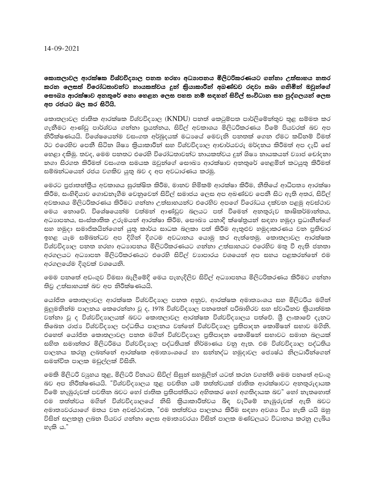කොතලාවල ආරක්ෂක විශ්වවිදාහල පනත හරහා අධාහපනය මිලිටරිකරණයට ගන්නා උත්සාහය නතර කරන ලෙසත් විරෝධතාවන්ට නායකත්වය දුන් කියාකාරීන් අබණ්ඩව රඳවා තබා ගනිමින් ඔවුන්ගේ **ලසෟබා ආරක්ෂාව අනතුරේ නො හෙළන ලෙස පහත නම් සඳහන් සිවිල් සංවිධාන සහ පුද්ගලයන් ලෙස** අප රජයට බල කර සිටියි.

කොතලාවල ජාතික ආරක්ෂක විශ්වවිදාහල ( $\operatorname{KNDU}$ ) පනත් කෙටුම්පත පාර්ලිමේන්තුව තුළ සම්මත කර ගැනීමට ආණ්ඩු පාර්ශ්වය ගන්නා පුයත්නය, සිවිල් අවකාශය මිලිටරිකරණය වීමේ පියවරක් බව අප නිරීක්ෂණයයි. විශේෂයෙන්ම වසංගත අර්බුදයක් මධාගේ මෙවැනි පනතක් ගෙන ඒමට කඩිනම් වීමත් ඊට එරෙහිව පෙනී සිටින ශිෂා කියාකාරීන් සහ විශ්වවිදාහල ආචාර්යවරු මර්දනය කිරීමත් අප දැඩි සේ හෙළා දකිමු. තවද, මෙම පනතට එරෙහි විරෝධතාවන්ට නායකත්වය දූන් ශිෂා නායකයන් වාාජ චෝදනා නගා සිරගත කිරීමත් වසංගත සමයක ඔවුන්ගේ සෞඛා ආරක්ෂාව අනතුරේ හෙළමින් කටයුතු කිරීමත් සම්බන්ධයෙන් රජය වගකිව යුතු බව ද අප අවධාරණය කරමු.

මෙරට පුජාතත්තීය අවකාශය සුරක්ෂිත කිරීම, මාතව හිමිකම් ආරක්ෂා කිරීම, නීතියේ ආධිපතා ආරක්ෂා කිරීම, සංහිඳියාව ගොඩනැගීම වෙනුවෙන් සිවිල් සමාජය ලෙස අප අඛණ්ඩව පෙනී සිට ඇති අතර, සිවිල් අවකාශය මිලිටරිකරණය කිරීමට ගන්නා උත්සාහයන්ට එරෙහිව අපගේ විරෝධය දක්වන පළමු අවස්ථාව මෙය නොවේ. විශේෂයෙන්ම වත්මන් ආණ්ඩුව බලයට පත් වීමෙන් අනතුරුව කෘෂිකර්මාන්තය, අධාාපනය, සංස්කාතික උරුමයන් ආරක්ෂා කිරීම, සෞඛා යනාදි ක්ෂේතුයන් සඳහා හමුදා පුධානීන්ගේ සහ හමුදා සමාජිකයින්ගෙන් යුතු කාර්ය සාධක බලකා පත් කිරීම ඇතුළුව හමුදාකරණය වන පුතිචාර ඉහළ යෑම සම්බන්ධව අප දිගින් දිගටම අවධානය යොමු කර ඇත්තෙමු. කොතලාවල ආරක්ෂක විශ්වවිදාහල පනතු හරහා අධාහපනය මිලිටරිකරණයට ගන්නා උත්සාහයට එරෙහිව මතු වී ඇති ජනතා අරගලයට අධාහපන මිලිටරිකරණයට එරෙහි සිවිල් වාහපාරය වශයෙන් අප සහය පළකරන්නේ එම අරගලයේම දිගුවක් වශයෙනි.

මෙම පනතේ අඩංගුව විමසා බැලීමේදි මෙය පැහැදිලිව සිවිල් අධාාපනය මිලිටරිකරණය කිරීමට ගන්නා තිවු උත්සාහයක් බව අප නිරීක්ෂණයයි.

යෝජිත කොතලාවල ආරක්ෂක විශ්වවිදාහල පනත අනුව, ආරක්ෂක අමාතාංශය සහ මිලිටරිය මගින් මුලුමනින්ම පාලනය කෙරෙන්නා වූ ද, 1978 විශ්වවිදාහල පනතෙන් පරිබාහිරව සහ ස්වාධීනව කිුයාත්මක වත්තා වූ ද විශ්වවිදාහලයක් බවට කොතලාවල ආරක්ෂක විශ්වවිදාහලය පත්වේ. ශීූ ලංකාවේ දැනට තිබෙන රාජා විශ්වවිදාහල පද්ධතිය පාලනය වන්නේ විශ්වවිදාහල පුතිපාදන කොමිෂන් සභාව මගිනි. එහෙත් යෝජිත කොතලාවල පනත මගින් විශ්වවිදාහල පුතිපාදන කොමිෂන් සභාවට සමාන බලයක් සහිත සමාත්තර මිලිටරිමය විශ්වවිදාහල පද්ධතියක් නිර්මාණය වනු ඇත. එම විශ්වවිදාහල පද්ධතිය පාලනය කරනු ලබන්නේ ආරක්ෂක අමාතාංශයේ හා සන්නද්ධ හමුදාවල ජොෂ්ඨ නිලධාරීන්ගෙන් සමත්විත පාලක මඩුල්ලක් විසිනි.

මෙකි මිලිටරි වාූහය තුළ, මිලිටරි විනයට සිවිල් සිසුන් සහමුලින් යටත් කරන වගන්ති මෙම පනතේ අඩංගු බව අප නිරීක්ෂණයයි. "විශ්වවිදාහලය තුළ පවතින යම් තත්ත්වයක් ජාතික ආරක්ෂාවට අනතුරුදායක වීමේ නැඹුරුවක් පවතින බවට හෝ ජාතික පුතිපත්තියට අහිතකර හෝ අගතිදායක බව" හෝ නැතහොත් එම තත්ත්වය මගින් විශ්වවිදාහලයේ නිසි කිුයාකාරීත්වය බිඳ වැටීමේ නැඹුරුවක් ඇති බවට අමාතාවරයාගේ මතය වන අවස්ථාවක, "එම තත්ත්වය පාලනය කිරීම සඳහා අවශා විය හැකි යයි ඔහු විසින් සලකනු ලබන පියවර ගන්නා ලෙස අමාතාවරයා විසින් පාලක මණ්ඩලයට විධානය කරනු ලැබිය හැකි ය."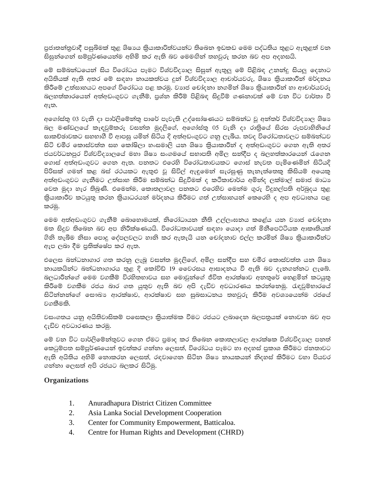පුජාතන්තුවාදී පසුබිමක් තුළ ශිෂාය කියාකාරිත්වයන්ට තිබෙන ඉඩකඩ මෙම පද්ධතිය තුළට ඇතුළත් වන සිසුන්ගෙන් සම්පූර්ණයෙන්ම අහිමි කර ඇති බව මෙමඟින් තහවුරු කරන බව අප අදහසයි.

මේ සම්බන්ධයෙන් සිය විරෝධය පෑමට විශ්වවිදාහල සිසුන් ඇතුලු මේ පිළිබඳ උනන්දු සියලු දෙනාට අයිතියක් ඇති අතර මේ සඳහා නායකත්වය දුන් විශ්වවිදාහල ආචාර්යවරු, ශිෂා කියාකාරීන් මර්දනය කිරීමේ උත්සාහයට අපගේ විරෝධය පළ කරමු. වාාජ චෝදතා තගමින් ශිෂා කිුයාකාරීන් හා ආචාර්යවරු බලහත්කාරයෙන් අත්අඩංගුවට ගැනීම්, පුශ්න කිරීම් පිළිබඳ සිදුවීම් ගණනාවක් මේ වන විට වාර්තා වී ඇත.

අගෝස්තු 03 වැනි දා පාර්ලිමේන්තු පාරේ පැවැති උද්ඝෝෂණයට සම්බන්ධ වූ අන්තර් විශ්වවිදාහල ශිෂා බල මණ්ඩලයේ කැඳවුම්කරු වසන්ත මුදලිගේ, අගෝස්තු 05 වැනි දා රාතිුයේ සිරස රූපවාහිනියේ සාකච්ඡාවකට සහභාගී වී ආපසු යමින් සිටිය දි අත්අඩංගුවට ගනු ලැබීය. තවද විරෝධතාවලට සම්බන්ධව සිටි චමීර කොස්වත්ත සහ කෝෂිලා හංසමාලි යන ශිෂා කියාකාරීන් ද අත්අඩංගුවට ගෙන ඇති අතර ජයවර්ධනපුර විශ්වවිදාහලයේ මහා ශිෂා සංගමයේ සභාපති අමිල සන්දීප ද බලහත්කාරයෙන් රැගෙන ගොස් අත්අඩංගුවට ගෙන ඇත. පනතට එරෙහි විරෝධතාවයකට ගොස් නැවත පැමිණෙමින් සිටියදි පිරිසක් ගමන් කළ බස් රථයකට ඇතුළු වූ සිවිල් ඇඳුමෙන් සැරසුණු තැනැත්තෙකු කිසියම් අයෙකු අත්අඩංගුවට ගැනීමට උත්සාහ කිරීම සම්බන්ධ සිදුවීමක් ද කථිකාචාර්ය අමින්ද ලක්මාල් සමාජ මාධාග වෙත මුදා හැර තිබුණි. එමෙන්ම, කොතලාවල පනතට එරෙහිව මෙන්ම ගුරු විදුහල්පති අර්බුදය තුළ කියාකාරීව කටයුතු කරන කිුයාධරයන් මර්දනය කිරීමට ගත් උත්සාහයන් කෙරෙහි ද අප අවධානය පළ කරමු.

මෙම අත්අඩංගුවට ගැනීම් බොහොමයක්, නිරෝධායන නීති උල්ලංඝනය කළේය යන වාාජ චෝදනා මත සිදුව තිබෙන බව අප නිරීක්ෂණයයි. විරෝධතාවයක් සඳහා යොදා ගත් මිනීපෙට්ටියක ආකෘතියක් ඇප ලබා දීම පුතික්ෂේප කර ඇත.

එලෙස බන්ධනාගාර ගත කරනු ලැබූ වසන්තු මුදලිගේ. අමිල සන්දීප සහ චමීර කොස්වත්තු යන ශිෂා නායකයින්ට බන්ධනාගාරය තුළ දි කෝවිඩ් 19 වෛරසය ආසාදනය වී ඇති බව දැනගන්නට ලැබේ. බලධාරීන්ගේ මෙම වගකීම් විරහිතභාවය සහ මොවුන්ගේ ජීවිත ආරක්ෂාව අනතරේ හෙළමින් කටයුතු කිරීමේ වගකීම රජය බාර ගත යුතුව ඇති බව අපි දැඩිව අවධාරණය කරන්නෙමු. රැඳවුම්භාරයේ සිටිත්තත්ගේ සෞඛා ආරක්ෂාව, ආරක්ෂාව සහ සුබසාධනය තහවුරු කිරීම අවශායෙන්ම රජයේ වගකීමකි.

වසංගතය යනු අයිතිවාසිකම් පලසකලා කියාත්මක වීමට රජයට ලබාදෙන බලපතුයක් නොවන බව අප දැඩිව අවධාරණය කරමු.

මේ වන විට පාර්ලිමේන්තුවට ගෙන ඒමට පුමාද කර තිබෙන කොතලාවල ආරක්ෂක විශ්වවිදාහල පනත් ඉකටුම්පත සම්පූර්ණයෙන් ඉවත්කර ගන්නා ලෙසත්, විරෝධය පෑමට හා අදහස් පුකාශ කිරීමට ජනතාවට ඇති අයිතිය අහිමි නොකරන ලෙසත්, රඳවාගෙන සිටින ශිෂා නායකයන් නිදහස් කිරීමට වහා පියවර ගන්නා ලෙසත් අපි රජයට බලකර සිටිමු.

## **Organizations**

- 1. Anuradhapura District Citizen Committee
- $\overline{2}$ . Asia Lanka Social Development Cooperation
- $\overline{3}$ . Center for Community Empowerment, Batticaloa.
- 4. Centre for Human Rights and Development (CHRD)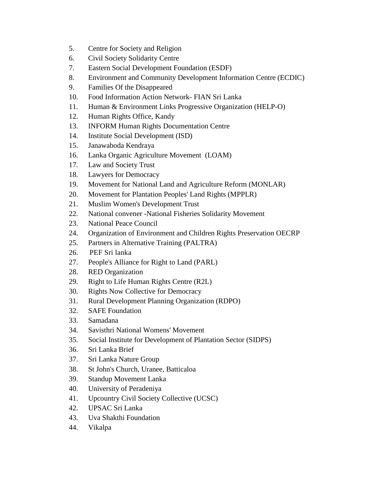- 5. Centre for Society and Religion
- 6. Civil Society Solidarity Centre
- 7. Eastern Social Development Foundation (ESDF)
- 8. Environment and Community Development Information Centre (ECDIC)
- 9. Families Of the Disappeared
- 10. Food Information Action Network- FIAN Sri Lanka
- 11. Human & Environment Links Progressive Organization (HELP-O)
- 12. Human Rights Office, Kandy
- 13. INFORM Human Rights Documentation Centre
- 14. Institute Social Development (ISD)
- 15. Janawaboda Kendraya
- 16. Lanka Organic Agriculture Movement (LOAM)
- 17. Law and Society Trust
- 18. Lawyers for Democracy
- 19. Movement for National Land and Agriculture Reform (MONLAR)
- 20. Movement for Plantation Peoples' Land Rights (MPPLR)
- 21. Muslim Women's Development Trust
- 22. National convener -National Fisheries Solidarity Movement
- 23. National Peace Council
- 24. Organization of Environment and Children Rights Preservation OECRP
- 25. Partners in Alternative Training (PALTRA)
- 26. PEF Sri lanka
- 27. People's Alliance for Right to Land (PARL)
- 28. RED Organization
- 29. Right to Life Human Rights Centre (R2L)
- 30. Rights Now Collective for Democracy
- 31. Rural Development Planning Organization (RDPO)
- 32. SAFE Foundation
- 33. Samadana
- 34. Savisthri National Womens' Movement
- 35. Social Institute for Development of Plantation Sector (SIDPS)
- 36. Sri Lanka Brief
- 37. Sri Lanka Nature Group
- 38. St John's Church, Uranee, Batticaloa
- 39. Standup Movement Lanka
- 40. University of Peradeniya
- 41. Upcountry Civil Society Collective (UCSC)
- 42. UPSAC Sri Lanka
- 43. Uva Shakthi Foundation
- 44. Vikalpa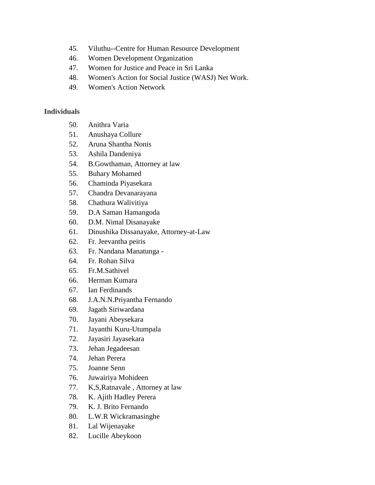- 45. Viluthu--Centre for Human Resource Development
- 46. Women Development Organization
- 47. Women for Justice and Peace in Sri Lanka
- 48. Women's Action for Social Justice (WASJ) Net Work.
- 49. Women's Action Network

## **Individuals**

- 50. Anithra Varia
- 51. Anushaya Collure
- 52. Aruna Shantha Nonis
- 53. Ashila Dandeniya
- 54. B.Gowthaman, Attorney at law
- 55. Buhary Mohamed
- 56. Chaminda Piyasekara
- 57. Chandra Devanarayana
- 58. Chathura Walivitiya
- 59. D.A Saman Hamangoda
- 60. D.M. Nimal Disanayake
- 61. Dinushika Dissanayake, Attorney-at-Law
- 62. Fr. Jeevantha peiris
- 63. Fr. Nandana Manatunga -
- 64. Fr. Rohan Silva
- 65. Fr.M.Sathivel
- 66. Herman Kumara
- 67. Ian Ferdinands
- 68. J.A.N.N.Priyantha Fernando
- 69. Jagath Siriwardana
- 70. Jayani Abeysekara
- 71. Jayanthi Kuru-Utumpala
- 72. Jayasiri Jayasekara
- 73. Jehan Jegadeesan
- 74. Jehan Perera
- 75. Joanne Senn
- 76. Juwairiya Mohideen
- 77. K,S,Ratnavale , Attorney at law
- 78. K. Ajith Hadley Perera
- 79. K. J. Brito Fernando
- 80. L.W.R Wickramasinghe
- 81. Lal Wijenayake
- 82. Lucille Abeykoon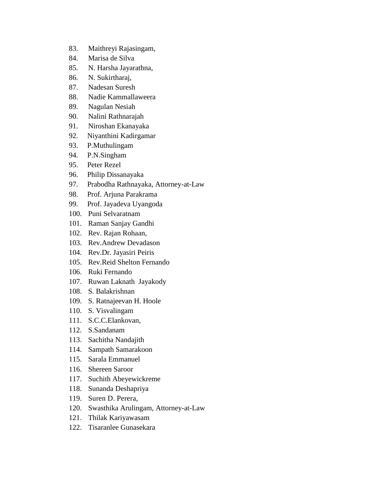- 83. Maithreyi Rajasingam,
- 84. Marisa de Silva
- 85. N. Harsha Jayarathna,
- 86. N. Sukirtharaj,
- 87. Nadesan Suresh
- 88. Nadie Kammallaweera
- 89. Nagulan Nesiah
- 90. Nalini Rathnarajah
- 91. Niroshan Ekanayaka
- 92. Niyanthini Kadirgamar
- 93. P.Muthulingam
- 94. P.N.Singham
- 95. Peter Rezel
- 96. Philip Dissanayaka
- 97. Prabodha Rathnayaka, Attorney-at-Law
- 98. Prof. Arjuna Parakrama
- 99. Prof. Jayadeva Uyangoda
- 100. Puni Selvaratnam
- 101. Raman Sanjay Gandhi
- 102. Rev. Rajan Rohaan,
- 103. Rev.Andrew Devadason
- 104. Rev.Dr. Jayasiri Peiris
- 105. Rev.Reid Shelton Fernando
- 106. Ruki Fernando
- 107. Ruwan Laknath Jayakody
- 108. S. Balakrishnan
- 109. S. Ratnajeevan H. Hoole
- 110. S. Visvalingam
- 111. S.C.C.Elankovan,
- 112. S.Sandanam
- 113. Sachitha Nandajith
- 114. Sampath Samarakoon
- 115. Sarala Emmanuel
- 116. Shereen Saroor
- 117. Suchith Abeyewickreme
- 118. Sunanda Deshapriya
- 119. Suren D. Perera,
- 120. Swasthika Arulingam, Attorney-at-Law
- 121. Thilak Kariyawasam
- 122. Tisaranlee Gunasekara